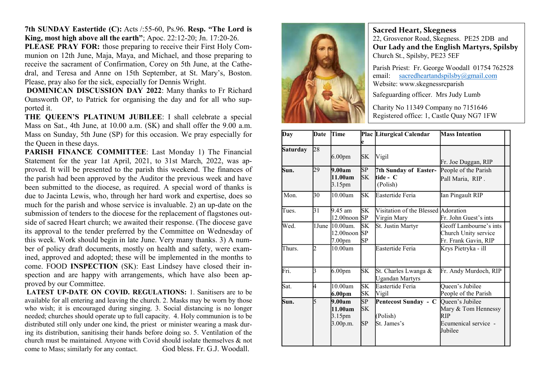7th SUNDAY Eastertide (C): Acts /:55-60, Ps.96. Resp. "The Lord is King, most high above all the earth"; Apoc. 22:12-20; Jn. 17:20-26.

PLEASE PRAY FOR: those preparing to receive their First Holy Communion on 12th June, Maja, Maya, and Michael, and those preparing to receive the sacrament of Confirmation, Corey on 5th June, at the Cathedral, and Teresa and Anne on 15th September, at St. Mary's, Boston. Please, pray also for the sick, especially for Dennis Wright.

 DOMINICAN DISCUSSION DAY 2022: Many thanks to Fr Richard Ounsworth OP, to Patrick for organising the day and for all who supported it.

THE QUEEN'S PLATINUM JUBILEE: I shall celebrate a special Mass on Sat., 4th June, at 10.00 a.m. (SK) and shall offer the 9.00 a.m. Mass on Sunday, 5th June (SP) for this occasion. We pray especially for the Queen in these days.

PARISH FINANCE COMMITTEE: Last Monday 1) The Financial Statement for the year 1at April, 2021, to 31st March, 2022, was approved. It will be presented to the parish this weekend. The finances of the parish had been approved by the Auditor the previous week and have been submitted to the diocese, as required. A special word of thanks is due to Jacinta Lewis, who, through her hard work and expertise, does so much for the parish and whose service is invaluable. 2) an up-date on the submission of tenders to the diocese for the replacement of flagstones outside of sacred Heart church; we awaited their response. (The diocese gave its approval to the tender preferred by the Committee on Wednesday of this week. Work should begin in late June. Very many thanks. 3) A number of policy draft documents, mostly on health and safety, were examined, approved and adopted; these will be implemented in the months to come. FOOD INSPECTION (SK): East Lindsey have closed their inspection and are happy with arrangements, which have also been approved by our Committee.

LATEST UP-DATE ON COVID. REGULATIONS: 1. Sanitisers are to be available for all entering and leaving the church. 2. Masks may be worn by those who wish; it is encouraged during singing. 3. Social distancing is no longer needed; churches should operate up to full capacity. 4. Holy communion is to be distributed still only under one kind, the priest or minister wearing a mask during its distribution, sanitising their hands before doing so. 5. Ventilation of the church must be maintained. Anyone with Covid should isolate themselves & not come to Mass; similarly for any contact. God bless. Fr. G.J. Woodall.



## Sacred Heart, Skegness

22, Grosvenor Road, Skegness. PE25 2DB and Our Lady and the English Martyrs, Spilsby Church St., Spilsby, PE23 5EF

Parish Priest: Fr. George Woodall 01754 762528 email: sacredheartandspilsby@gmail.com Website: www.skegnessrcparish

Safeguarding officer. Mrs Judy Lumb

Charity No 11349 Company no 7151646 Registered office: 1, Castle Quay NG7 1FW

| Day             | <b>Date</b>    | Time                                                   |                       | Plac Liturgical Calendar                           | <b>Mass Intention</b>                                                                              |
|-----------------|----------------|--------------------------------------------------------|-----------------------|----------------------------------------------------|----------------------------------------------------------------------------------------------------|
|                 |                |                                                        | e                     |                                                    |                                                                                                    |
| <b>Saturday</b> | 28             | 6.00 <sub>pm</sub>                                     | <b>SK</b>             | <b>Vigil</b>                                       | Fr. Joe Duggan, RIP                                                                                |
| Sun.            | 29             | 9.00am<br>11.00am<br>3.15pm                            | SP<br><b>SK</b>       | 7th Sunday of Easter-<br>tide - C<br>(Polish)      | People of the Parish<br>Pall Maria, RIP.                                                           |
| Mon.            | 30             | 10.00am                                                | <b>SK</b>             | Eastertide Feria                                   | Ian Pingault RIP                                                                                   |
| Tues.           | 31             | 9.45 am<br>$12.00$ noon $SP$                           | SK.                   | Visitation of the Blessed Adoration<br>Virgin Mary | Fr. John Guest's ints                                                                              |
| Wed.            | 1June          | $10.00am$ .<br>$12.00$ noon $SP$<br>7.00 <sub>pm</sub> | SK<br>SP              | St. Justin Martyr                                  | Geoff Lambourne's ints<br>Church Unity service<br>Fr. Frank Gavin, RIP                             |
| Thurs.          | $\overline{2}$ | 10.00am                                                |                       | Eastertide Feria                                   | Krys Pietryka - ill                                                                                |
| Fri.            | 3              | 6.00 <sub>pm</sub>                                     | SK                    | St. Charles Lwanga &<br><b>Ugandan Martyrs</b>     | Fr. Andy Murdoch, RIP                                                                              |
| Sat.            | 4              | 10.00am<br>6.00pm                                      | <b>SK</b><br>SK       | Eastertide Feria<br>Vigil                          | Queen's Jubilee<br>People of the Parish                                                            |
| Sun.            | 5              | 9.00am<br>11.00am<br>3.15pm<br>3.00p.m.                | SP<br><b>SK</b><br>SP | Pentecost Sunday - C<br>(Polish)<br>St. James's    | Queen's Jubilee<br>Mary & Tom Hennessy<br><b>R<sub>IP</sub></b><br>Ecumenical service -<br>Jubilee |